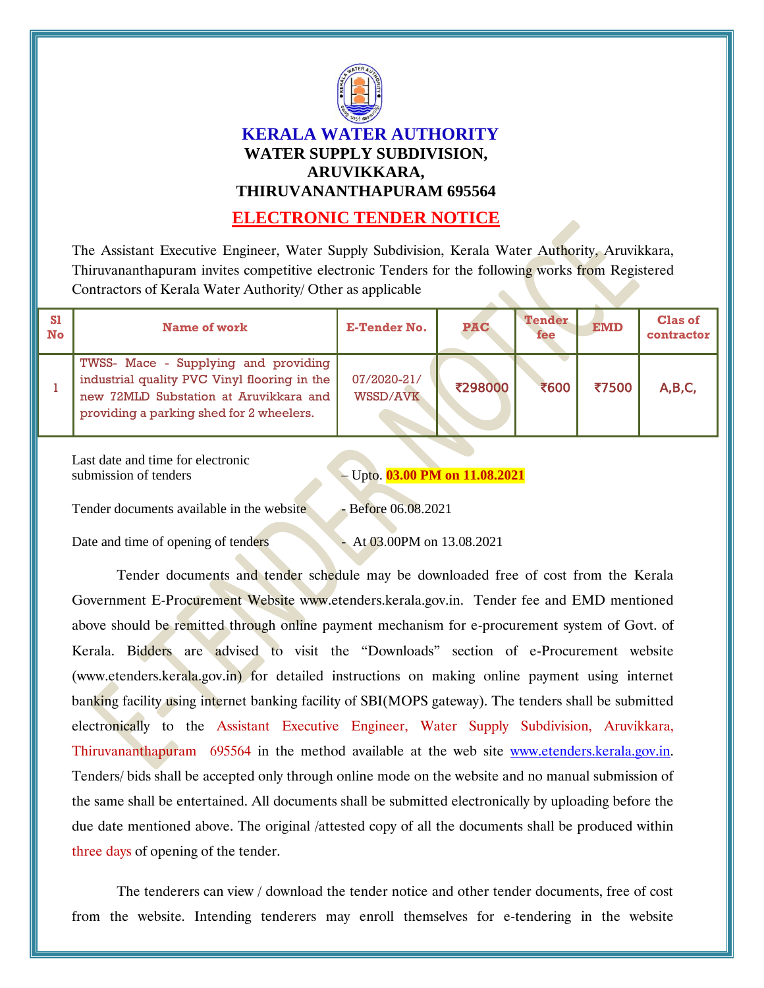

## **KERALA WATER AUTHORITY WATER SUPPLY SUBDIVISION, ARUVIKKARA, THIRUVANANTHAPURAM 695564**

## **ELECTRONIC TENDER NOTICE**

The Assistant Executive Engineer, Water Supply Subdivision, Kerala Water Authority, Aruvikkara, Thiruvananthapuram invites competitive electronic Tenders for the following works from Registered Contractors of Kerala Water Authority/ Other as applicable

| <b>S1</b><br>No | <b>Name of work</b>                                                                                                                                                        | <b>E-Tender No.</b>            | <b>PAC</b> | <b>Tender</b><br>fee | <b>EMD</b> | <b>Clas of</b><br>contractor |
|-----------------|----------------------------------------------------------------------------------------------------------------------------------------------------------------------------|--------------------------------|------------|----------------------|------------|------------------------------|
|                 | TWSS- Mace - Supplying and providing<br>industrial quality PVC Vinyl flooring in the<br>new 72MLD Substation at Aruvikkara and<br>providing a parking shed for 2 wheelers. | 07/2020-21/<br><b>WSSD/AVK</b> | ₹298000    | ₹600                 | ₹7500      | A, B, C,                     |

Last date and time for electronic submission of tenders – Upto. **03.00 PM on 11.08.2021** 

Tender documents available in the website - Before 06.08.2021

Date and time of opening of tenders - At 03.00PM on 13.08.2021

Tender documents and tender schedule may be downloaded free of cost from the Kerala Government E-Procurement Website www.etenders.kerala.gov.in. Tender fee and EMD mentioned above should be remitted through online payment mechanism for e-procurement system of Govt. of Kerala. Bidders are advised to visit the "Downloads" section of e-Procurement website (www.etenders.kerala.gov.in) for detailed instructions on making online payment using internet banking facility using internet banking facility of SBI(MOPS gateway). The tenders shall be submitted electronically to the Assistant Executive Engineer, Water Supply Subdivision, Aruvikkara, Thiruvananthapuram 695564 in the method available at the web site [www.etenders.kerala.gov.in.](file:///D:\Rajesh\AVK\Works\Model\www.etenders.kerala.gov.in) Tenders/ bids shall be accepted only through online mode on the website and no manual submission of the same shall be entertained. All documents shall be submitted electronically by uploading before the due date mentioned above. The original /attested copy of all the documents shall be produced within three days of opening of the tender.

The tenderers can view / download the tender notice and other tender documents, free of cost from the website. Intending tenderers may enroll themselves for e-tendering in the website